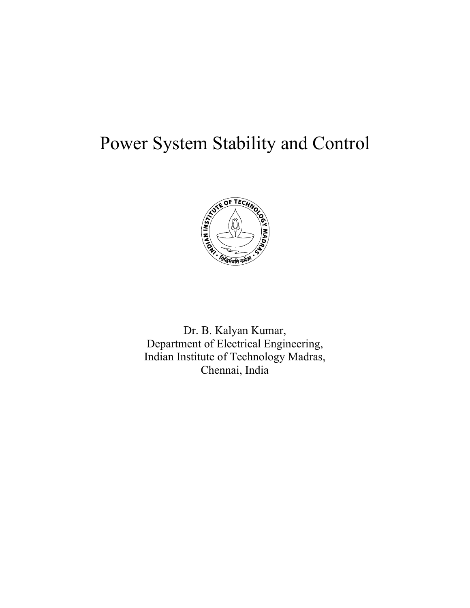# Power System Stability and Control



Dr. B. Kalyan Kumar, Department of Electrical Engineering, Indian Institute of Technology Madras, Chennai, India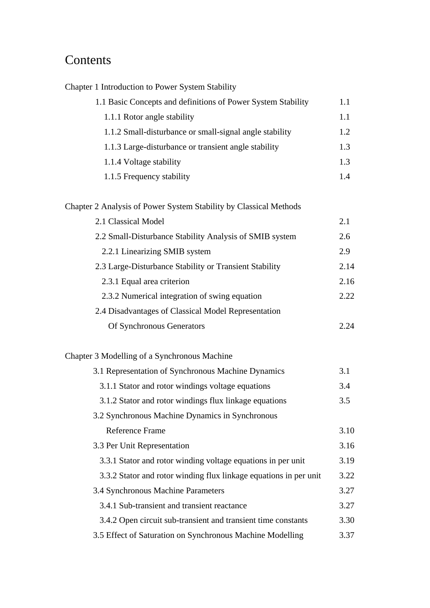## Contents

| Chapter 1 Introduction to Power System Stability                  |      |
|-------------------------------------------------------------------|------|
| 1.1 Basic Concepts and definitions of Power System Stability      | 1.1  |
| 1.1.1 Rotor angle stability                                       | 1.1  |
| 1.1.2 Small-disturbance or small-signal angle stability           | 1.2  |
| 1.1.3 Large-disturbance or transient angle stability              | 1.3  |
| 1.1.4 Voltage stability                                           | 1.3  |
| 1.1.5 Frequency stability                                         | 1.4  |
| Chapter 2 Analysis of Power System Stability by Classical Methods |      |
| 2.1 Classical Model                                               | 2.1  |
| 2.2 Small-Disturbance Stability Analysis of SMIB system           | 2.6  |
| 2.2.1 Linearizing SMIB system                                     | 2.9  |
| 2.3 Large-Disturbance Stability or Transient Stability            | 2.14 |
| 2.3.1 Equal area criterion                                        | 2.16 |
| 2.3.2 Numerical integration of swing equation                     | 2.22 |
| 2.4 Disadvantages of Classical Model Representation               |      |
| Of Synchronous Generators                                         | 2.24 |
| Chapter 3 Modelling of a Synchronous Machine                      |      |
| 3.1 Representation of Synchronous Machine Dynamics                | 3.1  |
| 3.1.1 Stator and rotor windings voltage equations                 | 3.4  |
| 3.1.2 Stator and rotor windings flux linkage equations            | 3.5  |
| 3.2 Synchronous Machine Dynamics in Synchronous                   |      |
| <b>Reference Frame</b>                                            | 3.10 |
| 3.3 Per Unit Representation                                       | 3.16 |
| 3.3.1 Stator and rotor winding voltage equations in per unit      | 3.19 |
| 3.3.2 Stator and rotor winding flux linkage equations in per unit | 3.22 |
| 3.4 Synchronous Machine Parameters                                | 3.27 |
| 3.4.1 Sub-transient and transient reactance                       | 3.27 |
| 3.4.2 Open circuit sub-transient and transient time constants     | 3.30 |
| 3.5 Effect of Saturation on Synchronous Machine Modelling         | 3.37 |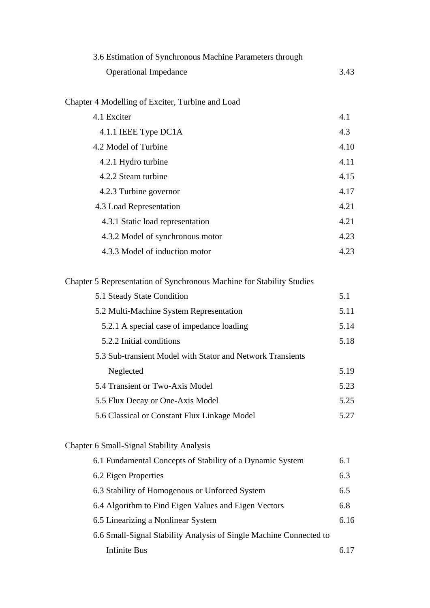| 3.6 Estimation of Synchronous Machine Parameters through |      |
|----------------------------------------------------------|------|
| <b>Operational Impedance</b>                             | 3.43 |
|                                                          |      |
| Chapter 4 Modelling of Exciter, Turbine and Load         |      |
| 4.1 Exciter                                              | 4.1  |
| 4.1.1 IEEE Type DC1A                                     | 4.3  |
| 4.2 Model of Turbine                                     | 4.10 |
| 4.2.1 Hydro turbine                                      | 4.11 |
| 4.2.2 Steam turbine                                      | 4.15 |
| 4.2.3 Turbine governor                                   | 4.17 |
| 4.3 Load Representation                                  | 4.21 |
| 4.3.1 Static load representation                         | 4.21 |
| 4.3.2 Model of synchronous motor                         | 4.23 |
| 4.3.3 Model of induction motor                           | 4.23 |
|                                                          |      |

### Chapter 5 Representation of Synchronous Machine for Stability Studies

| 5.1 Steady State Condition                                         | 5.1  |
|--------------------------------------------------------------------|------|
| 5.2 Multi-Machine System Representation                            | 5.11 |
| 5.2.1 A special case of impedance loading                          | 5.14 |
| 5.2.2 Initial conditions                                           | 5.18 |
| 5.3 Sub-transient Model with Stator and Network Transients         |      |
| Neglected                                                          | 5.19 |
| 5.4 Transient or Two-Axis Model                                    | 5.23 |
| 5.5 Flux Decay or One-Axis Model                                   | 5.25 |
| 5.6 Classical or Constant Flux Linkage Model                       | 5.27 |
|                                                                    |      |
| Chapter 6 Small-Signal Stability Analysis                          |      |
| 6.1 Fundamental Concepts of Stability of a Dynamic System          | 6.1  |
| 6.2 Eigen Properties                                               | 6.3  |
| 6.3 Stability of Homogenous or Unforced System                     | 6.5  |
| 6.4 Algorithm to Find Eigen Values and Eigen Vectors               | 6.8  |
| 6.5 Linearizing a Nonlinear System                                 | 6.16 |
| 6.6 Small-Signal Stability Analysis of Single Machine Connected to |      |
| <b>Infinite Bus</b>                                                | 6.17 |
|                                                                    |      |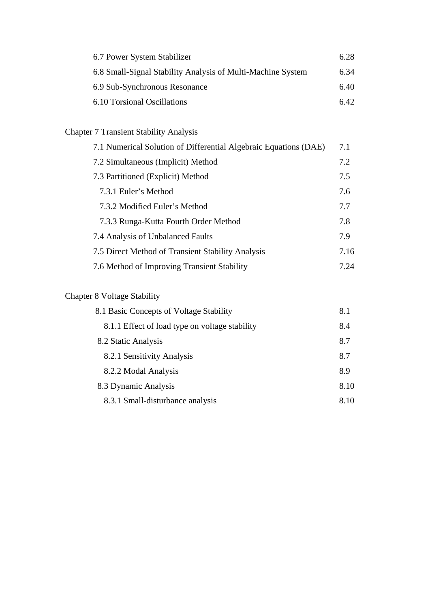| 6.7 Power System Stabilizer                                 | 6.28  |
|-------------------------------------------------------------|-------|
| 6.8 Small-Signal Stability Analysis of Multi-Machine System | 6.34  |
| 6.9 Sub-Synchronous Resonance                               | 6.40  |
| 6.10 Torsional Oscillations                                 | 6.42. |

## Chapter 7 Transient Stability Analysis

| 7.1 Numerical Solution of Differential Algebraic Equations (DAE) | 7.1  |
|------------------------------------------------------------------|------|
| 7.2 Simultaneous (Implicit) Method                               | 7.2  |
| 7.3 Partitioned (Explicit) Method                                | 7.5  |
| 7.3.1 Euler's Method                                             | 7.6  |
| 7.3.2 Modified Euler's Method                                    | 7.7  |
| 7.3.3 Runga-Kutta Fourth Order Method                            | 7.8  |
| 7.4 Analysis of Unbalanced Faults                                | 7.9  |
| 7.5 Direct Method of Transient Stability Analysis                | 7.16 |
| 7.6 Method of Improving Transient Stability                      | 7.24 |

## Chapter 8 Voltage Stability

| 8.1 Basic Concepts of Voltage Stability        | 8.1  |
|------------------------------------------------|------|
| 8.1.1 Effect of load type on voltage stability | 8.4  |
| 8.2 Static Analysis                            | 8.7  |
| 8.2.1 Sensitivity Analysis                     | 8.7  |
| 8.2.2 Modal Analysis                           | 8.9  |
| 8.3 Dynamic Analysis                           | 8.10 |
| 8.3.1 Small-disturbance analysis               | 8.10 |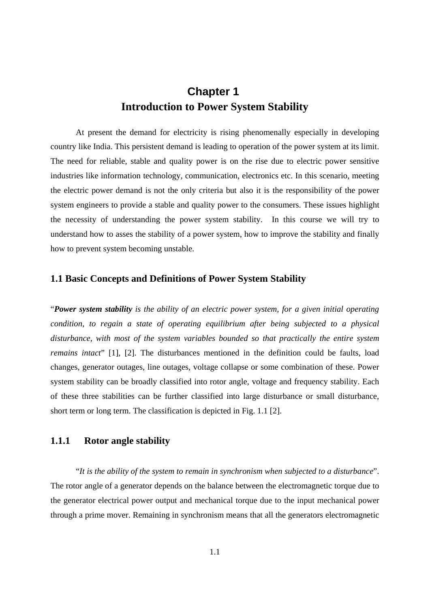## **Chapter 1 Introduction to Power System Stability**

At present the demand for electricity is rising phenomenally especially in developing country like India. This persistent demand is leading to operation of the power system at its limit. The need for reliable, stable and quality power is on the rise due to electric power sensitive industries like information technology, communication, electronics etc. In this scenario, meeting the electric power demand is not the only criteria but also it is the responsibility of the power system engineers to provide a stable and quality power to the consumers. These issues highlight the necessity of understanding the power system stability. In this course we will try to understand how to asses the stability of a power system, how to improve the stability and finally how to prevent system becoming unstable.

#### **1.1 Basic Concepts and Definitions of Power System Stability**

"*Power system stability is the ability of an electric power system, for a given initial operating condition, to regain a state of operating equilibrium after being subjected to a physical disturbance, with most of the system variables bounded so that practically the entire system remains intact*" [1], [2]. The disturbances mentioned in the definition could be faults, load changes, generator outages, line outages, voltage collapse or some combination of these. Power system stability can be broadly classified into rotor angle, voltage and frequency stability. Each of these three stabilities can be further classified into large disturbance or small disturbance, short term or long term. The classification is depicted in Fig. 1.1 [2].

#### **1.1.1 Rotor angle stability**

"*It is the ability of the system to remain in synchronism when subjected to a disturbance*". The rotor angle of a generator depends on the balance between the electromagnetic torque due to the generator electrical power output and mechanical torque due to the input mechanical power through a prime mover. Remaining in synchronism means that all the generators electromagnetic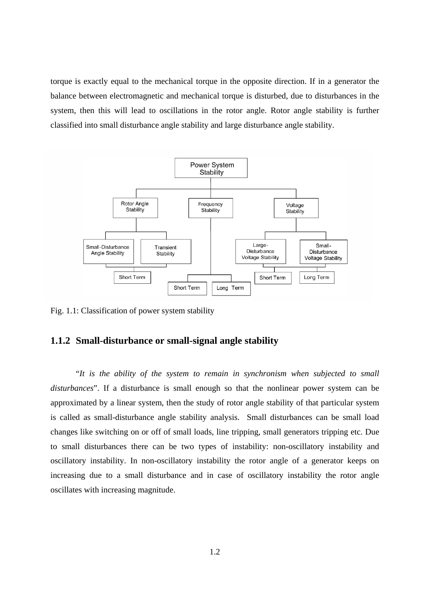torque is exactly equal to the mechanical torque in the opposite direction. If in a generator the balance between electromagnetic and mechanical torque is disturbed, due to disturbances in the system, then this will lead to oscillations in the rotor angle. Rotor angle stability is further classified into small disturbance angle stability and large disturbance angle stability.



Fig. 1.1: Classification of power system stability

#### **1.1.2 Small-disturbance or small-signal angle stability**

"*It is the ability of the system to remain in synchronism when subjected to small disturbances*". If a disturbance is small enough so that the nonlinear power system can be approximated by a linear system, then the study of rotor angle stability of that particular system is called as small-disturbance angle stability analysis. Small disturbances can be small load changes like switching on or off of small loads, line tripping, small generators tripping etc. Due to small disturbances there can be two types of instability: non-oscillatory instability and oscillatory instability. In non-oscillatory instability the rotor angle of a generator keeps on increasing due to a small disturbance and in case of oscillatory instability the rotor angle oscillates with increasing magnitude.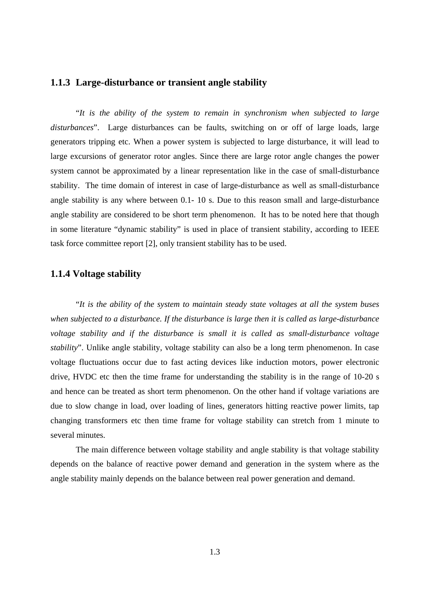#### **1.1.3 Large-disturbance or transient angle stability**

"*It is the ability of the system to remain in synchronism when subjected to large disturbances*". Large disturbances can be faults, switching on or off of large loads, large generators tripping etc. When a power system is subjected to large disturbance, it will lead to large excursions of generator rotor angles. Since there are large rotor angle changes the power system cannot be approximated by a linear representation like in the case of small-disturbance stability. The time domain of interest in case of large-disturbance as well as small-disturbance angle stability is any where between 0.1- 10 s. Due to this reason small and large-disturbance angle stability are considered to be short term phenomenon. It has to be noted here that though in some literature "dynamic stability" is used in place of transient stability, according to IEEE task force committee report [2], only transient stability has to be used.

#### **1.1.4 Voltage stability**

"*It is the ability of the system to maintain steady state voltages at all the system buses when subjected to a disturbance. If the disturbance is large then it is called as large-disturbance voltage stability and if the disturbance is small it is called as small-disturbance voltage stability*". Unlike angle stability, voltage stability can also be a long term phenomenon. In case voltage fluctuations occur due to fast acting devices like induction motors, power electronic drive, HVDC etc then the time frame for understanding the stability is in the range of 10-20 s and hence can be treated as short term phenomenon. On the other hand if voltage variations are due to slow change in load, over loading of lines, generators hitting reactive power limits, tap changing transformers etc then time frame for voltage stability can stretch from 1 minute to several minutes.

The main difference between voltage stability and angle stability is that voltage stability depends on the balance of reactive power demand and generation in the system where as the angle stability mainly depends on the balance between real power generation and demand.